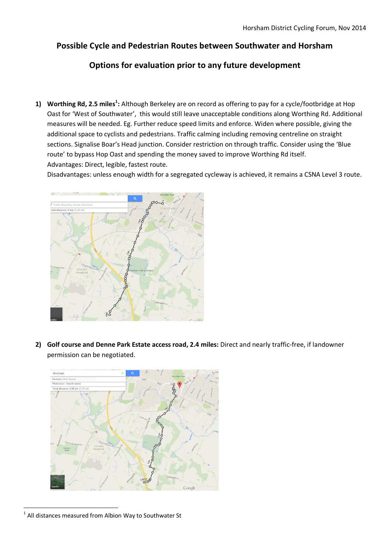## **Possible Cycle and Pedestrian Routes between Southwater and Horsham**

## **Options for evaluation prior to any future development**

**1) Worthing Rd, 2.5 miles<sup>1</sup> :** Although Berkeley are on record as offering to pay for a cycle/footbridge at Hop Oast for 'West of Southwater', this would still leave unacceptable conditions along Worthing Rd. Additional measures will be needed. Eg. Further reduce speed limits and enforce. Widen where possible, giving the additional space to cyclists and pedestrians. Traffic calming including removing centreline on straight sections. Signalise Boar's Head junction. Consider restriction on through traffic. Consider using the 'Blue route' to bypass Hop Oast and spending the money saved to improve Worthing Rd itself. Advantages: Direct, legible, fastest route.

Disadvantages: unless enough width for a segregated cycleway is achieved, it remains a CSNA Level 3 route.



**2) Golf course and Denne Park Estate access road, 2.4 miles:** Direct and nearly traffic-free, if landowner permission can be negotiated.



<sup>1</sup> 1 All distances measured from Albion Way to Southwater St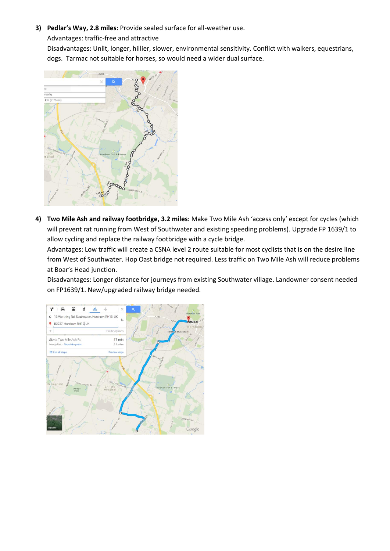**3) Pedlar's Way, 2.8 miles:** Provide sealed surface for all-weather use.

Advantages: traffic-free and attractive

Disadvantages: Unlit, longer, hillier, slower, environmental sensitivity. Conflict with walkers, equestrians, dogs. Tarmac not suitable for horses, so would need a wider dual surface.



**4) Two Mile Ash and railway footbridge, 3.2 miles:** Make Two Mile Ash 'access only' except for cycles (which will prevent rat running from West of Southwater and existing speeding problems). Upgrade FP 1639/1 to allow cycling and replace the railway footbridge with a cycle bridge.

Advantages: Low traffic will create a CSNA level 2 route suitable for most cyclists that is on the desire line from West of Southwater. Hop Oast bridge not required. Less traffic on Two Mile Ash will reduce problems at Boar's Head junction.

Disadvantages: Longer distance for journeys from existing Southwater village. Landowner consent needed on FP1639/1. New/upgraded railway bridge needed.